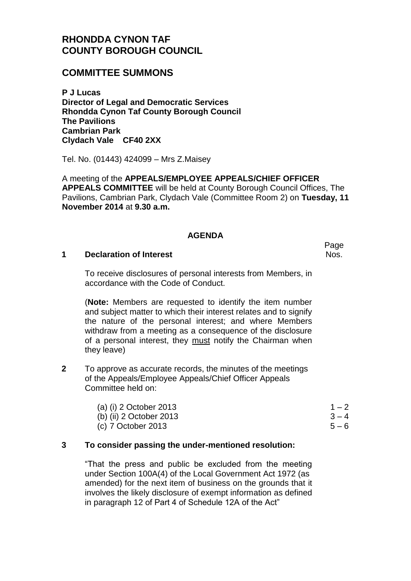# **RHONDDA CYNON TAF COUNTY BOROUGH COUNCIL**

## **COMMITTEE SUMMONS**

**P J Lucas Director of Legal and Democratic Services Rhondda Cynon Taf County Borough Council The Pavilions Cambrian Park Clydach Vale CF40 2XX**

Tel. No. (01443) 424099 – Mrs Z.Maisey

A meeting of the **APPEALS/EMPLOYEE APPEALS/CHIEF OFFICER APPEALS COMMITTEE** will be held at County Borough Council Offices, The Pavilions, Cambrian Park, Clydach Vale (Committee Room 2) on **Tuesday, 11 November 2014** at **9.30 a.m.**

### **AGENDA**

#### **1 Declaration of Interest**

To receive disclosures of personal interests from Members, in accordance with the Code of Conduct.

(**Note:** Members are requested to identify the item number and subject matter to which their interest relates and to signify the nature of the personal interest; and where Members withdraw from a meeting as a consequence of the disclosure of a personal interest, they must notify the Chairman when they leave)

**2** To approve as accurate records, the minutes of the meetings of the Appeals/Employee Appeals/Chief Officer Appeals Committee held on:

| (a) (i) 2 October 2013  | $1 - 2$ |
|-------------------------|---------|
| (b) (ii) 2 October 2013 | $3 - 4$ |
| (c) 7 October 2013      | $5 - 6$ |

### **3 To consider passing the under-mentioned resolution:**

"That the press and public be excluded from the meeting under Section 100A(4) of the Local Government Act 1972 (as amended) for the next item of business on the grounds that it involves the likely disclosure of exempt information as defined in paragraph 12 of Part 4 of Schedule 12A of the Act"

Page Nos.